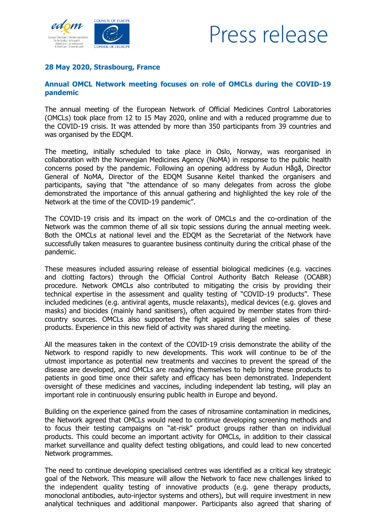



## **28 May 2020, Strasbourg, France**

## **Annual OMCL Network meeting focuses on role of OMCLs during the COVID-19 pandemic**

The annual meeting of the European Network of Official Medicines Control Laboratories (OMCLs) took place from 12 to 15 May 2020, online and with a reduced programme due to the COVID-19 crisis. It was attended by more than 350 participants from 39 countries and was organised by the EDQM.

The meeting, initially scheduled to take place in Oslo, Norway, was reorganised in collaboration with the Norwegian Medicines Agency (NoMA) in response to the public health concerns posed by the pandemic. Following an opening address by Audun Hågå, Director General of NoMA, Director of the EDQM Susanne Keitel thanked the organisers and participants, saying that "the attendance of so many delegates from across the globe demonstrated the importance of this annual gathering and highlighted the key role of the Network at the time of the COVID-19 pandemic".

The COVID-19 crisis and its impact on the work of OMCLs and the co-ordination of the Network was the common theme of all six topic sessions during the annual meeting week. Both the OMCLs at national level and the EDQM as the Secretariat of the Network have successfully taken measures to guarantee business continuity during the critical phase of the pandemic.

These measures included assuring release of essential biological medicines (e.g. vaccines and clotting factors) through the Official Control Authority Batch Release (OCABR) procedure. Network OMCLs also contributed to mitigating the crisis by providing their technical expertise in the assessment and quality testing of "COVID-19 products". These included medicines (e.g. antiviral agents, muscle relaxants), medical devices (e.g. gloves and masks) and biocides (mainly hand sanitisers), often acquired by member states from thirdcountry sources. OMCLs also supported the fight against illegal online sales of these products. Experience in this new field of activity was shared during the meeting.

All the measures taken in the context of the COVID-19 crisis demonstrate the ability of the Network to respond rapidly to new developments. This work will continue to be of the utmost importance as potential new treatments and vaccines to prevent the spread of the disease are developed, and OMCLs are readying themselves to help bring these products to patients in good time once their safety and efficacy has been demonstrated. Independent oversight of these medicines and vaccines, including independent lab testing, will play an important role in continuously ensuring public health in Europe and beyond.

Building on the experience gained from the cases of nitrosamine contamination in medicines, the Network agreed that OMCLs would need to continue developing screening methods and to focus their testing campaigns on "at-risk" product groups rather than on individual products. This could become an important activity for OMCLs, in addition to their classical market surveillance and quality defect testing obligations, and could lead to new concerted Network programmes.

The need to continue developing specialised centres was identified as a critical key strategic goal of the Network. This measure will allow the Network to face new challenges linked to the independent quality testing of innovative products (e.g. gene therapy products, monoclonal antibodies, auto-injector systems and others), but will require investment in new analytical techniques and additional manpower. Participants also agreed that sharing of